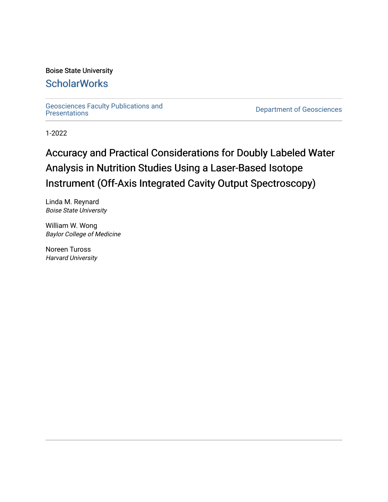## Boise State University

## **ScholarWorks**

Geosciences Faculty Publications and<br>Presentations

**Department of Geosciences** 

1-2022

# Accuracy and Practical Considerations for Doubly Labeled Water Analysis in Nutrition Studies Using a Laser-Based Isotope Instrument (Off-Axis Integrated Cavity Output Spectroscopy)

Linda M. Reynard Boise State University

William W. Wong Baylor College of Medicine

Noreen Tuross Harvard University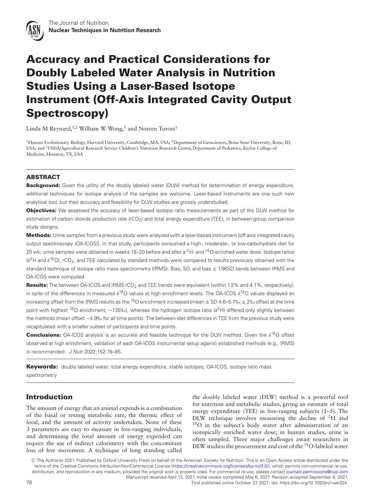

## **Accuracy and Practical Considerations for Doubly Labeled Water Analysis in Nutrition Studies Using a Laser-Based Isotope Instrument (Off-Axis Integrated Cavity Output Spectroscopy)**

Linda M Reynard,<sup>1[,2](#page-1-1)</sup> William W Wong,<sup>3</sup> and Noreen Tuross<sup>[1](#page-1-0)</sup>

<span id="page-1-2"></span><span id="page-1-1"></span><span id="page-1-0"></span><sup>1</sup>Human Evolutionary Biology, Harvard University, Cambridge, MA, USA; <sup>2</sup>Department of Geosciences, Boise State University, Boise, ID, USA; and 3USDA/Agricultural Research Service Children's Nutrition Research Center, Department of Pediatrics, Baylor College of Medicine, Houston, TX, USA

### **ABSTRACT**

**Background:** Given the utility of the doubly labeled water (DLW) method for determination of energy expenditure, additional techniques for isotope analysis of the samples are welcome. Laser-based instruments are one such new analytical tool, but their accuracy and feasibility for DLW studies are grossly understudied.

**Objectives:** We assessed the accuracy of laser-based isotope ratio measurements as part of the DLW method for estimation of carbon dioxide production rate (rCO<sub>2</sub>) and total energy expenditure (TEE), in between-group comparison study designs.

**Methods:** Urine samples from a previous study were analyzed with a laser-based instrument [off-axis integrated cavity output spectroscopy (OA-ICOS)]. In that study, participants consumed a high-, moderate-, or low-carbohydrate diet for 20 wk; urine samples were obtained in weeks 18–20 before and after a  $2H$ - and  $18O$ -enriched water dose. Isotope ratios  $(\delta^2)$ H and  $\delta^{18}$ O), rCO<sub>2</sub>, and TEE calculated by standard methods were compared to results previously obtained with the standard technique of isotope ratio mass spectrometry (IRMS). Bias, SD, and bias  $\pm$  1.96SD bands between IRMS and OA-ICOS were computed.

Results: The between OA-ICOS and IRMS rCO<sub>2</sub> and TEE trends were equivalent (within 1.2% and 4.1%, respectively), in spite of the differences in measured  $\delta^{18}O$  values at high enrichment levels. The OA-ICOS  $\delta^{18}O$  values displayed an increasing offset from the IRMS results as the <sup>18</sup>O enrichment increased (mean  $\pm$  SD 4.6–5.7‰  $\pm$  2‰ offset at the time point with highest <sup>18</sup>O enrichment, ~135‰), whereas the hydrogen isotope ratio (δ<sup>2</sup>H) differed only slightly between the methods (mean offset −4.9‰ for all time points). The between-diet differences in TEE from the previous study were recapitulated with a smaller subset of participants and time points.

**Conclusions:** OA-ICOS analysis is an accurate and feasible technique for the DLW method. Given the  $\delta^{18}$ O offset observed at high enrichment, validation of each OA-ICOS instrumental setup against established methods (e.g., IRMS) is recommended. J Nutr 2022;152:78–85.

**Keywords:** doubly labeled water, total energy expenditure, stable isotopes, OA-ICOS, isotope ratio mass spectrometry

### **Introduction**

The amount of energy that an animal expends is a combination of the basal or resting metabolic rate, the thermic effect of food, and the amount of activity undertaken. None of these 3 parameters are easy to measure in free-ranging individuals, and determining the total amount of energy expended can require the use of indirect calorimetry with the concomitant loss of free movement. A technique of long standing called the doubly labeled water (DLW) method is a powerful tool for nutrition and metabolic studies, giving an estimate of total energy expenditure (TEE) in free-ranging subjects [\(1–5\)](#page-7-0). The DLW technique involves measuring the decline of 2H and 18O in the subject's body water after administration of an isotopically enriched water dose; in human studies, urine is often sampled. Three major challenges await researchers in DLW studies: the procurement and cost of the <sup>18</sup>O-labeled water

<sup>C</sup> The Author(s) 2021. Published by Oxford University Press on behalf of the American Society for Nutrition. This is an Open Access article distributed under the terms of the Creative Commons Attribution-NonCommercial License [\(https://creativecommons.org/licenses/by-nc/4.0/\)](https://creativecommons.org/licenses/by-nc/4.0/), which permits non-commercial re-use, distribution, and reproduction in any medium, provided the original work is properly cited. For commercial re-use, please contact [journals.permissions@oup.com](mailto:journals.permissions@oup.com) Manuscript received April 13, 2021. Initial review completed May 6, 2021. Revision accepted September 8, 2021. 78 First published online October 27, 2021; doi: https://doi.org/10.1093/jn/nxab324.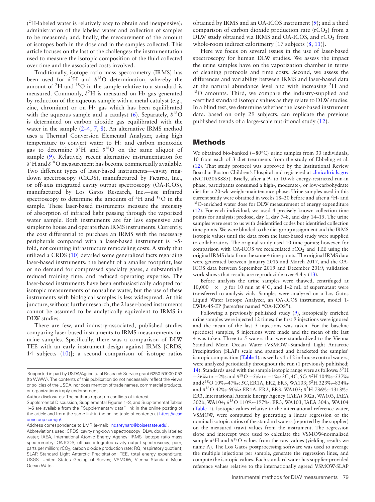( 2H-labeled water is relatively easy to obtain and inexpensive); administration of the labeled water and collection of samples to be measured; and, finally, the measurement of the amount of isotopes both in the dose and in the samples collected. This article focuses on the last of the challenges: the instrumentation used to measure the isotopic composition of the fluid collected over time and the associated costs involved.

Traditionally, isotope ratio mass spectrometry (IRMS) has been used for  $\delta^2$ H and  $\delta^{18}$ O determination, whereby the amount of 2H and 18O in the sample relative to a standard is measured. Commonly,  $\delta^2$ H is measured on H<sub>2</sub> gas generated by reduction of the aqueous sample with a metal catalyst (e.g., zinc, chromium) or on  $H_2$  gas which has been equilibrated with the aqueous sample and a catalyst [\(6\)](#page-8-0). Separately,  $\delta^{18}$ O is determined on carbon dioxide gas equilibrated with the water in the sample  $(2-4, 7, 8)$  $(2-4, 7, 8)$  $(2-4, 7, 8)$  $(2-4, 7, 8)$ . An alternative IRMS method uses a Thermal Conversion Elemental Analyzer, using high temperature to convert water to  $H_2$  and carbon monoxide gas to determine  $\delta^2$ H and  $\delta^{18}$ O on the same aliquot of sample [\(9\)](#page-8-3). Relatively recent alternative instrumentation for  $\delta^2$ H and  $\delta^{18}$ O measurement has become commercially available. Two different types of laser-based instruments—cavity ringdown spectroscopy (CRDS), manufactured by Picarro, Inc., or off-axis integrated cavity output spectroscopy (OA-ICOS), manufactured by Los Gatos Research, Inc.—use infrared spectroscopy to determine the amounts of  ${}^{2}H$  and  ${}^{18}O$  in the sample. These laser-based instruments measure the intensity of absorption of infrared light passing through the vaporized water sample. Both instruments are far less expensive and simpler to house and operate than IRMS instruments. Currently, the cost differential to purchase an IRMS with the necessary peripherals compared with a laser-based instrument is ∼5 fold, not counting infrastructure remodeling costs. A study that utilized a CRDS [\(10\)](#page-8-4) detailed some generalized facts regarding laser-based instruments: the benefit of a smaller footprint, less or no demand for compressed specialty gases, a substantially reduced training time, and reduced operating expertise. The laser-based instruments have been enthusiastically adopted for isotopic measurements of nonsaline water, but the use of these instruments with biological samples is less widespread. At this juncture, without further research, the 2 laser-based instruments cannot be assumed to be analytically equivalent to IRMS in DLW studies.

There are few, and industry-associated, published studies comparing laser-based instruments to IRMS measurements for urine samples. Specifically, there was a comparison of DLW TEE with an early instrument design against IRMS [CRDS, 14 subjects [\(10\)](#page-8-4)]; a second comparison of isotope ratios

Address correspondence to LMR (e-mail: [lindareynard@boisestate.edu\)](mailto:lindareynard@boisestate.edu).

obtained by IRMS and an OA-ICOS instrument [\(9\)](#page-8-3); and a third comparison of carbon dioxide production rate  $(rCO<sub>2</sub>)$  from a DLW study obtained via IRMS and OA-ICOS, and rCO<sub>2</sub> from whole-room indirect calorimetry [17 subjects  $(8, 11)$  $(8, 11)$  $(8, 11)$ ].

Here we focus on several issues in the use of laser-based spectroscopy for human DLW studies. We assess the impact the urine samples have on the vaporization chamber in terms of cleaning protocols and time costs. Second, we assess the differences and variability between IRMS and laser-based data at the natural abundance level and with increasing 2H and 18O amounts. Third, we compare the industry-supplied and -certified standard isotopic values as they relate to DLW studies. In a blind test, we determine whether the laser-based instrument data, based on only 29 subjects, can replicate the previous published trends of a large-scale nutritional study [\(12\)](#page-8-6).

#### **Methods**

We obtained bio-banked (−80°C) urine samples from 30 individuals, 10 from each of 3 diet treatments from the study of Ebbeling et al. [\(12\)](#page-8-6). That study protocol was approved by the Institutional Review Board at Boston Children's Hospital and registered at [clinicaltrials.gov](http://clinicaltrials.gov) (NCT02068885). Briefly, after a 9- to 10-wk energy-restricted run-in phase, participants consumed a high-, moderate-, or low-carbohydrate diet for a 20-wk weight-maintenance phase. Urine samples used in this current study were obtained in weeks 18–20 before and after a 2H- and <sup>18</sup>O-enriched water dose for DLW measurement of energy expenditure [\(12\)](#page-8-6). For each individual, we used 4 precisely known collection time points for analysis: predose, day 1, day 7–8, and day 14–15. The urine samples were sent to us with deidentified codes but identified collection time points.We were blinded to the diet group assignment and the IRMS isotopic values until the data from the laser-based study were supplied to collaborators. The original study used 10 time points; however, for comparison with OA-ICOS we recalculated  $rCO<sub>2</sub>$  and TEE using the original IRMS data from the same 4 time points. The original IRMS data were generated between January 2015 and March 2017, and the OA-ICOS data between September 2019 and December 2019; validation work shows that results are reproducible over 4.4 y [\(13\)](#page-8-7).

Before analysis the urine samples were thawed, centrifuged at 10,000 × *g* for 10 min at 4◦C, and 1–2 mL of supernatant were transferred to analysis vials. Samples were analyzed on a Los Gatos Liquid Water Isotope Analyzer, an OA-ICOS instrument, model T-LWIA-45-EP (hereafter named "OA-ICOS").

Following a previously published study [\(9\)](#page-8-3), isotopically enriched urine samples were injected 12 times; the first 9 injections were ignored and the mean of the last 3 injections was taken. For the baseline (predose) samples, 8 injections were made and the mean of the last 4 was taken. Three to 5 waters that were standardized to the Vienna Standard Mean Ocean Water (VSMOW)-Standard Light Antarctic Precipitation (SLAP) scale and spanned and bracketed the samples' isotopic composition (**[Table 1](#page-3-0)**), as well as 1 of 2 in-house control waters, were analyzed periodically throughout the run (1 previously published; [14\)](#page-8-8). Standards used with the sample isotopic range were as follows:  $\delta^2$ H −36‰ to −2‰ and δ18O −5‰ to −1‰: 3C, 4C, 5C; δ2H 104‰–537‰ and δ18O 10‰–47‰: 5C, ER1A, ER2, ER3, WA103; δ2H 323‰–834‰ and δ18O 42‰–90‰: ER1A, ER2, ER3, WA103; δ2H 736‰–1313‰: ER3, International Atomic Energy Agency (IAEA) 302a, WA103, IAEA 302b, WA104; δ18O 110‰–197‰: ER3, WA103, IAEA 304a, WA104 [\(Table 1\)](#page-3-0). Isotopic values relative to the international reference water, VSMOW, were computed by generating a linear regression of the nominal isotopic ratios of the standard waters (reported by the supplier) on the measured (raw) values from the instrument. The regression slope and intercept were used to calculate the VSMOW-normalized sample  $\delta^2$ H and  $\delta^{18}$ O values from the raw values (yielding results we name A). The Los Gatos postprocessing software was used to average the multiple injections per sample, generate the regression lines, and compute the isotopic values. Each standard water has supplier-provided reference values relative to the internationally agreed VSMOW-SLAP

Supported in part by USDA/Agricultural Research Service grant 6250-51000-053 (to WWW). The contents of this publication do not necessarily reflect the views or policies of the USDA, nor does mention of trade names, commercial products, or organizations imply endorsement.

Author disclosures: The authors report no conflicts of interest.

Supplemental Discussion, Supplemental Figures 1–3, and Supplemental Tables 1–5 are available from the "Supplementary data" link in the online posting of [the article and from the same link in the online table of contents at](https://academic.oup.com/jn/) https://acad emic.oup.com/jn/.

Abbreviations used: CRDS, cavity ring-down spectroscopy; DLW, doubly labeled water; IAEA, International Atomic Energy Agency; IRMS, isotope ratio mass spectrometry; OA-ICOS, off-axis integrated cavity output spectroscopy; ppm, parts per million;  $rCO<sub>2</sub>$ , carbon dioxide production rate; RQ, respiratory quotient; SLAP, Standard Light Antarctic Precipitation; TEE, total energy expenditure; USGS, United States Geological Survey; VSMOW, Vienna Standard Mean Ocean Water.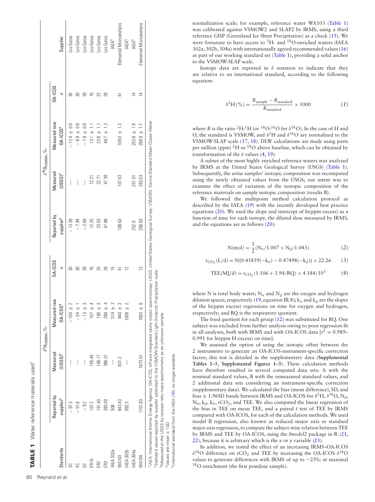|                  |                                      |                                 | $\delta^2$ Hysmow, $\%$ o                                                                                                                                                                       |                     |                                      | $\delta^{18}$ O <sub>VSMOW</sub> , $\%$ o |                                      |                |                         |
|------------------|--------------------------------------|---------------------------------|-------------------------------------------------------------------------------------------------------------------------------------------------------------------------------------------------|---------------------|--------------------------------------|-------------------------------------------|--------------------------------------|----------------|-------------------------|
| <b>Standards</b> | Reported by<br>supplier <sup>2</sup> | Measured<br>(USGS) <sup>3</sup> | I raw<br>$0A-ICDS4$<br>Measured                                                                                                                                                                 | <b>DA-ICOS</b><br>Ξ | Reported by<br>supplier <sup>2</sup> | Measured<br>(USGS) <sup>3</sup>           | Measured raw<br>DA-ICOS <sup>4</sup> | <b>DA-ICOS</b> | Supplier                |
| ္တ               | $-97.3$                              | I                               | $+001$                                                                                                                                                                                          |                     | $-13.39$                             | I                                         | $-12.4 \pm 0.8$                      | 5              | os Gatos                |
| $\overline{4}$   | $-51.6$                              | $\bigg $                        | $-54 \pm$                                                                                                                                                                                       | ඝ                   | $-7.94$                              | $\overline{\phantom{a}}$                  | $-6.9 \pm 0.8$                       | 5              | Los Gatos               |
| 50               | $-9.2$                               | I                               | $-13 +$                                                                                                                                                                                         | 89                  | $-2.69$                              | I                                         | $-1.9 \pm 0.9$                       | တ္တ            | Los Gatos               |
| ER1A             | 107.2                                | 105.44                          | $+107$                                                                                                                                                                                          | $\cong$             | 12.25                                | 12.21                                     | $13.1 \pm$                           | $\cong$        | Los Gatos               |
| ERZ              | 191.40                               | 186.17                          | $190 +$                                                                                                                                                                                         | 20                  | 23.03                                | 22.71                                     | $\overline{a}$<br>23.8 ±             | 22             | Los Gatos               |
| ER3              | 383.30                               | 380.37                          | $384 +$                                                                                                                                                                                         | 28                  | 47.88                                | 47.39                                     | $48.7 \pm 1.2$                       | 29             | Los Gatos               |
| <b>IAEA 302a</b> | 506                                  | $\bigg $                        | $514 \pm$                                                                                                                                                                                       | 으                   |                                      |                                           |                                      |                | IAEA <sup>5</sup>       |
| <b>WA103</b>     | 843.43                               | 831.2                           | 840                                                                                                                                                                                             |                     | 108.63                               | 107.43                                    | $109.0 \pm 1.3$                      | Ε              | Elemental Microanalysis |
| IAEA 302b        | 992.3                                | $\begin{array}{c} \end{array}$  | 1008                                                                                                                                                                                            | $\geq$              |                                      |                                           |                                      |                | IAEA <sup>5</sup>       |
| IAEA 304a        |                                      |                                 |                                                                                                                                                                                                 |                     | 252.9                                | 251.01                                    | $253.8 \pm 1.9$                      |                | IAEA <sup>5</sup>       |
| WA104            | 1701.83                              | 1673.51                         | 9<br>$1693 +$                                                                                                                                                                                   | S                   | 266.83                               | 263.53                                    | $266.9 \pm 1.7$                      | $\overline{4}$ | Elemental Microanalysis |
|                  |                                      |                                 | <sup>11</sup> AEA, International Atomic Energy Agency; OA-ICOS, off-axis integrated cavity output spectroscopy; USGS, United States Geological Survey; VSMOW, Vienna Standard Mean Ocean Water. |                     |                                      |                                           |                                      |                |                         |

2Standard values reported by supplier calibrated to the VSMOW-Standard Light Antarctic Precipitation scale. VSMOV-Standard Light Antarctic Precipitation scale 3Measured at the USGS by isotope ratio mass spectrometry as an unknown sample. Measured at the USGS by isotope ratio mass spectrometry as an unknown sample Standard values reported by supplier calibrated to the

<span id="page-3-0"></span>5International standard from the IAEA [\(16\)](#page-8-9); no longer available. international standard from the IAEA (16); no longer available Values are mean ± 1SD. 4Values are mean ± 1SD.

normalization scale; for example, reference water WA103 [\(Table 1\)](#page-3-0) was calibrated against VSMOW2 and SLAP2 by IRMS, using a third reference GISP (Greenland Ice Sheet Precipitation) as a check [\(15\)](#page-8-10). We were fortunate to have access to 2H- and 18O-enriched waters (IAEA 302a, 302b, 304a) with internationally agreed recommended values [\(16\)](#page-8-9) as part of our working standard set [\(Table 1\)](#page-3-0), providing a solid anchor to the VSMOW-SLAP scale.

Isotope data are reported in  $\delta$  notation to indicate that they are relative to an international standard, according to the following equation:

$$
\delta^2 H\left(\% \right) = \frac{R_{\text{sample}} - R_{\text{standard}}}{R_{\text{standard}}} \times 1000 \tag{1}
$$

where *R* is the ratio <sup>2</sup>H:<sup>1</sup>H (or <sup>18</sup>O:<sup>16</sup>O for  $\delta$ <sup>18</sup>O). In the case of H and O, the standard is VSMOW, and  $\delta^2$ H and  $\delta^{18}$ O are normalized to the VSMOW-SLAP scale [\(17,](#page-8-11) [18\)](#page-8-12). DLW calculations are made using parts per million (ppm) <sup>2</sup>H or <sup>18</sup>O above baseline, which can be obtained by transformation of the  $\delta$  values [\(4,](#page-7-2) [19\)](#page-8-13).

A subset of the most highly enriched reference waters was analyzed by IRMS at the United States Geological Survey (USGS) [\(Table 1\)](#page-3-0). Subsequently, the urine samples' isotopic composition was recomputed using the newly obtained values from the USGS; our intent was to examine the effect of variation of the isotopic composition of the reference materials on sample isotopic composition (results B).

We followed the multipoint method calculation protocol as described by the IAEA [\(19\)](#page-8-13) with the recently developed best practice equations [\(20\)](#page-8-14). We used the slope and intercept of ln(ppm excess) as a function of time for each isotope, the diluted dose measured by IRMS, and the equations are as follows [\(20\)](#page-8-14):

$$
N(mol) = \frac{1}{2}(N_o/1.007 + N_d/1.043)
$$
 (2)

$$
r_{\text{CO}_2}(L/d) = N\{0.45859(-k_o) - 0.47498(-k_d)\} \times 22.26
$$
 (3)

$$
TEE(MJ/d) = r_{CO_2}(1.106 + 3.94/RQ) \times 4.184/10^3 \tag{4}
$$

where N is total body water;  $N_0$  and  $N_d$  are the oxygen and hydrogen dilution spaces, respectively [\(19,](#page-8-13) equation III.8);  $k_0$  and  $k_d$  are the slopes of the ln(ppm excess) regressions on time for oxygen and hydrogen, respectively; and RQ is the respiratory quotient.

The food quotient for each group [\(12\)](#page-8-6) was substituted for RQ. One subject was excluded from further analysis owing to poor regression fit in all analyses, both with IRMS and with OA-ICOS data  $[r^2 = 0.989 -$ 0.991 for ln(ppm H excess) on time].

We assessed the option of using the isotopic offset between the 2 instruments to generate an OA-ICOS-instrument-specific correction factor; this test is detailed in the supplementary data (**Supplemental Tables 1–5**, **Supplemental Figures 1–3**). These calculation methods have therefore resulted in several computed data sets: A with the nominal standard values, B with the remeasured standard values, and 2 additional data sets considering an instrument-specific correction (supplementary data). We calculated the bias (mean difference), SD, and bias  $\pm$  1.96SD bands between IRMS and OA-ICOS for  $\delta^2$ H,  $\delta^{18}$ O, N<sub>d</sub>,  $N_0$ ,  $k_d$ ,  $k_o$ , rCO<sub>2</sub>, and TEE. We also computed the linear regression of the bias in TEE on mean TEE, and a paired *t* test of TEE by IRMS compared with OA-ICOS, for each of the calculation methods. We used model II regression, also known as reduced major axis or standard major axis regression, to compute the subject-wise relation between TEE by IRMS and TEE by OA-ICOS, using the *lmodel2* package in R [\(21,](#page-8-15) [22\)](#page-8-16), because it is arbitrary which is the *x* or *y* variable [\(23\)](#page-8-17).

<span id="page-3-5"></span><span id="page-3-4"></span><span id="page-3-3"></span><span id="page-3-2"></span><span id="page-3-1"></span>In addition, we tested the effect of an increasing IRMS–OA-ICOS  $δ<sup>18</sup>O$  difference on rCO<sub>2</sub> and TEE by increasing the OA-ICOS  $δ<sup>18</sup>O$ values to generate differences with IRMS of up to ∼25‰ at maximal 18O enrichment (the first postdose sample).

**TABLE 1** Water reference materials use[d1](#page-3-1)

**TABLE 1** Water reference materials used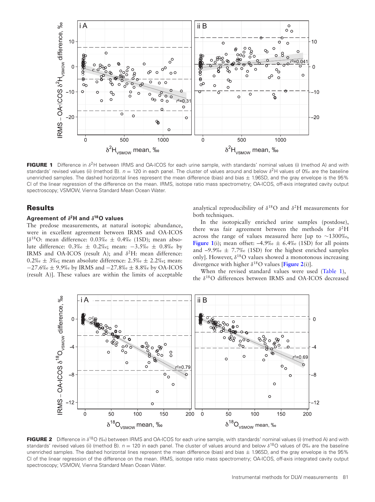<span id="page-4-0"></span>

**FIGURE 1** Difference in  $\delta^2$ H between IRMS and OA-ICOS for each urine sample, with standards' nominal values (i) (method A) and with standards' revised values (ii) (method B).  $n = 120$  in each panel. The cluster of values around and below  $\delta^2$ H values of 0‰ are the baseline unenriched samples. The dashed horizontal lines represent the mean difference (bias) and bias  $\pm$  1.96SD, and the gray envelope is the 95% CI of the linear regression of the difference on the mean. IRMS, isotope ratio mass spectrometry; OA-ICOS, off-axis integrated cavity output spectroscopy; VSMOW, Vienna Standard Mean Ocean Water.

#### **Results**

#### **Agreement of** *δ***2H and** *δ***18O values**

The predose measurements, at natural isotopic abundance, were in excellent agreement between IRMS and OA-ICOS [ $\delta^{18}$ O: mean difference: 0.03‰  $\pm$  0.4‰ (1SD); mean absolute difference: 0.3‰ ± 0.2‰; mean: −3.5‰ ± 0.8‰ by IRMS and OA-ICOS (result A); and  $\delta^2H$ : mean difference:  $0.2\%$   $\pm$  3‰; mean absolute difference: 2.5‰  $\pm$  2.2‰; mean: −27.6‰ ± 9.9‰ by IRMS and −27.8‰ ± 8.8‰ by OA-ICOS (result A)]. These values are within the limits of acceptable analytical reproducibility of  $\delta^{18}$ O and  $\delta^2$ H measurements for both techniques.

In the isotopically enriched urine samples (postdose), there was fair agreement between the methods for  $\delta^2$ H across the range of values measured here [up to ∼1300‰, **[Figure 1](#page-4-0)**(i); mean offset:  $-4.9\%$   $\leq$  6.4% (1SD) for all points and  $-9.9\%$ <sub>c</sub>  $\pm$  7.7‰ (1SD) for the highest enriched samples only]. However,  $\delta^{18}$ O values showed a monotonous increasing divergence with higher  $\delta^{18}$ O values [[Figure 2](#page-4-1)(i)].

When the revised standard values were used [\(Table 1\)](#page-3-0), the δ18O differences between IRMS and OA-ICOS decreased

<span id="page-4-1"></span>

**FIGURE 2** Difference in δ<sup>18</sup>O (‰) between IRMS and OA-ICOS for each urine sample, with standards' nominal values (i) (method A) and with standards' revised values (ii) (method B).  $n = 120$  in each panel. The cluster of values around and below  $\delta^{18}O$  values of 0‰ are the baseline unenriched samples. The dashed horizontal lines represent the mean difference (bias) and bias  $\pm$  1.96SD, and the gray envelope is the 95% CI of the linear regression of the difference on the mean. IRMS, isotope ratio mass spectrometry; OA-ICOS, off-axis integrated cavity output spectroscopy; VSMOW, Vienna Standard Mean Ocean Water.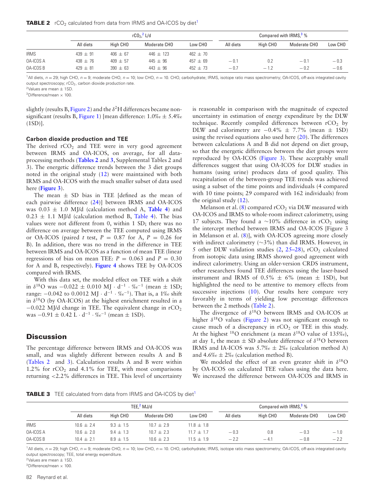<span id="page-5-3"></span>

|  | TABLE 2 rCO <sub>2</sub> calculated from data from IRMS and OA-ICOS by diet <sup>1</sup> |  |  |  |  |  |
|--|------------------------------------------------------------------------------------------|--|--|--|--|--|
|--|------------------------------------------------------------------------------------------|--|--|--|--|--|

|                  |              |              | $rCO2$ , L/d  |              | Compared with IRMS, <sup>3</sup> % |          |              |         |
|------------------|--------------|--------------|---------------|--------------|------------------------------------|----------|--------------|---------|
|                  | All diets    | High CHO     | Moderate CHO  | Low CHO      | All diets                          | High CHO | Moderate CHO | Low CHO |
| <b>IRMS</b>      | $439 \pm 91$ | $406 \pm 67$ | $446 \pm 123$ | $462 \pm 70$ |                                    |          |              |         |
| 0A-ICOS A        | $438 \pm 76$ | $409 + 57$   | $445 + 96$    | $457 \pm 69$ | $-0.1$                             | 0.2      | $-0.1$       | $-0.3$  |
| <b>OA-ICOS B</b> | $429 \pm 81$ | $390 + 63$   | $443 + 96$    | $452 + 73$   | $-0.7$                             | $-1.2$   | $-0.2$       | $-0.6$  |

<span id="page-5-0"></span> $1$ All diets,  $n = 29$ ; high CHO,  $n = 9$ ; moderate CHO,  $n = 10$ ; low CHO,  $n = 10$ . CHO, carbohydrate; IRMS, isotope ratio mass spectrometry; OA-ICOS, off-axis integrated cavity output spectroscopy; rCO<sub>2</sub>, carbon dioxide production rate.

<span id="page-5-1"></span> $2$ Values are mean  $\pm$  1SD.

<span id="page-5-2"></span> $3$ Difference/mean  $\times$  100.

slightly (results B, [Figure 2\)](#page-4-1) and the  $\delta^2$ H differences became non-significant (results B, [Figure 1\)](#page-4-0) [mean difference:  $1.0\% \text{ of } \pm 5.4\%$  $(1SD)$ ].

#### **Carbon dioxide production and TEE**

The derived  $rCO<sub>2</sub>$  and TEE were in very good agreement between IRMS and OA-ICOS, on average, for all dataprocessing methods (**[Tables 2](#page-5-3)** and **[3](#page-5-3)**, Supplemental Tables 2 and 3). The energetic difference trends between the 3 diet groups noted in the original study [\(12\)](#page-8-6) were maintained with both IRMS and OA-ICOS with the much smaller subset of data used here (**[Figure 3](#page-6-0)**).

The mean  $\pm$  SD bias in TEE [defined as the mean of each pairwise difference [\(24\)](#page-8-18)] between IRMS and OA-ICOS was  $0.03 \pm 1.0$  MJ/d (calculation method A, [Table 4](#page-6-1)) and  $0.23 \pm 1.1$  MJ/d (calculation method B, [Table 4\)](#page-6-1). The bias values were not different from 0, within 1 SD; there was no difference on average between the TEE computed using IRMS or OA-ICOS (paired *t* test,  $P = 0.87$  for A,  $P = 0.26$  for B). In addition, there was no trend in the difference in TEE between IRMS and OA-ICOS as a function of mean TEE (linear regressions of bias on mean TEE:  $P = 0.063$  and  $P = 0.30$ for A and B, respectively). **[Figure 4](#page-6-2)** shows TEE by OA-ICOS compared with IRMS.

With this data set, the modeled effect on TEE with a shift in  $\delta^{18}$ O was  $-0.022 \pm 0.010$  MJ · d<sup>-1</sup> · ‰<sup>-1</sup> (mean  $\pm$  1SD; range:  $-0.042$  to 0.0012 MJ · d<sup>-1</sup> · ‰<sup>-1</sup>). That is, a 1‰ shift in  $\delta^{18}$ O (by OA-ICOS) at the highest enrichment resulted in a  $-0.022$  MJ/d change in TEE. The equivalent change in rCO<sub>2</sub> was  $-0.91 \pm 0.42$  L · d<sup>-1</sup> · ‰<sup>-1</sup> (mean  $\pm$  1SD).

#### **Discussion**

The percentage difference between IRMS and OA-ICOS was small, and was slightly different between results A and B [\(Tables 2](#page-5-4) and [3\)](#page-5-4). Calculation results A and B were within 1.2% for  $rCO<sub>2</sub>$  and 4.1% for TEE, with most comparisons returning <2.2% differences in TEE. This level of uncertainty

is reasonable in comparison with the magnitude of expected uncertainty in estimation of energy expenditure by the DLW technique. Recently compiled differences between  $rCO<sub>2</sub>$  by DLW and calorimetry are  $-0.4\% \pm 7.7\%$  (mean  $\pm$  1SD) using the revised equations also used here  $(20)$ . The differences between calculations A and B did not depend on diet group, so that the energetic differences between the diet groups were reproduced by OA-ICOS [\(Figure 3\)](#page-6-0). These acceptably small differences suggest that using OA-ICOS for DLW studies in humans (using urine) produces data of good quality. This recapitulation of the between-group TEE trends was achieved using a subset of the time points and individuals (4 compared with 10 time points; 29 compared with 162 individuals) from the original study [\(12\)](#page-8-6).

Melanson et al.  $(8)$  compared rCO<sub>2</sub> via DLW measured with OA-ICOS and IRMS to whole-room indirect calorimetry, using 17 subjects. They found a ∼10% difference in  $rCO<sub>2</sub>$  using the intercept method between IRMS and OA-ICOS [Figure 3 in Melanson et al. [\(8\)](#page-8-2)], with OA-ICOS agreeing more closely with indirect calorimetry (∼3%) than did IRMS. However, in 5 other DLW validation studies  $(2, 25-28)$  $(2, 25-28)$ , rCO<sub>2</sub> calculated from isotopic data using IRMS showed good agreement with indirect calorimetry. Using an older-version CRDS instrument, other researchers found TEE differences using the laser-based instrument and IRMS of  $0.5\% \pm 6\%$  (mean  $\pm$  1SD), but highlighted the need to be attentive to memory effects from successive injections [\(10\)](#page-8-4). Our results here compare very favorably in terms of yielding low percentage differences between the 2 methods [\(Table 2\)](#page-5-3).

The divergence of  $\delta^{18}O$  between IRMS and OA-ICOS at higher  $\delta^{18}$ O values [\(Figure 2\)](#page-4-1) was not significant enough to cause much of a discrepancy in  $rCO<sub>2</sub>$  or TEE in this study. At the highest <sup>18</sup>O enrichment (a mean  $\delta^{18}$ O value of 135‰), at day 1, the mean  $\pm$  SD absolute difference of  $\delta^{18}$ O between IRMS and IA-ICOS was  $5.7\%$   $\pm$  2\% (calculation method A) and  $4.6\%$   $\pm$  2\% (calculation method B).

We modeled the effect of an even greater shift in  $\delta^{18}O$ by OA-ICOS on calculated TEE values using the data here. We increased the difference between OA-ICOS and IRMS in

<span id="page-5-4"></span>**TABLE 3** TEE calculated from data from IRMS and OA-ICOS by diet<sup>1</sup>

|                  |                |             | TEE. $2$ MJ/d |              | Compared with $IRMS3$ % |          |              |         |
|------------------|----------------|-------------|---------------|--------------|-------------------------|----------|--------------|---------|
|                  | All diets      | High CHO    | Moderate CHO  | Low CHO      | All diets               | High CHO | Moderate CHO | Low CHO |
| <b>IRMS</b>      | $10.6 + 2.4$   | $9.3 + 1.5$ | $10.7 + 2.9$  | $11.8 + 1.8$ |                         |          |              |         |
| <b>OA-ICOS A</b> | $10.6 + 2.0$   | $9.4 + 1.3$ | $10.7 + 2.3$  | $11.7 + 1.7$ | $-0.3$                  | 0.8      | $-0.3$       | $-1.0$  |
| <b>OA-ICOS B</b> | $10.4 \pm 2.1$ | $8.9 + 1.5$ | $10.6 + 2.3$  | $115 + 19$   | $-2.2$                  | $-4.1$   | $-0.8$       | $-2.2$  |

<span id="page-5-5"></span><sup>1</sup>All diets,  $n = 29$ ; high CHO,  $n = 9$ ; moderate CHO,  $n = 10$ ; low CHO,  $n = 10$ . CHO, carbohydrate; IRMS, isotope ratio mass spectrometry; OA-ICOS, off-axis integrated cavity output spectroscopy; TEE, total energy expenditure.

<span id="page-5-6"></span> $2$ Values are mean  $+$  1SD.

<span id="page-5-7"></span> $3$ Difference/mean  $\times$  100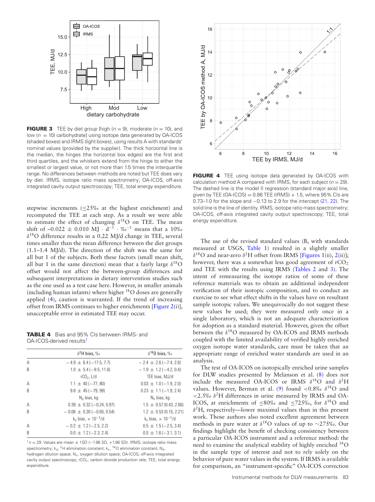<span id="page-6-0"></span>

**FIGURE 3** TEE by diet group [high  $(n = 9)$ , moderate  $(n = 10)$ , and low ( $n = 10$ ) carbohydrate] using isotope data generated by OA-ICOS (shaded boxes) and IRMS (light boxes), using results A with standards' nominal values (provided by the supplier). The thick horizontal line is the median, the hinges (the horizontal box edges) are the first and third quartiles, and the whiskers extend from the hinge to either the smallest or largest value, or not more than 1.5 times the interquartile range. No differences between methods are noted but TEE does vary by diet. IRMS, isotope ratio mass spectrometry; OA-ICOS, off-axis integrated cavity output spectroscopy; TEE, total energy expenditure.

stepwise increments ( $\leq$ 25‰ at the highest enrichment) and recomputed the TEE at each step. As a result we were able to estimate the effect of changing  $\delta^{18}$ O on TEE. The mean shift of  $-0.022 \pm 0.010$  MJ ·  $d^{-1}$  · ‰<sup>-1</sup> means that a 10‰  $\delta^{18}$ O difference results in a 0.22 MJ/d change in TEE, several times smaller than the mean difference between the diet groups (1.1–1.4 MJ/d). The direction of the shift was the same for all but 1 of the subjects. Both these factors (small mean shift, all but 1 in the same direction) mean that a fairly large  $\delta^{18}$ O offset would not affect the between-group differences and subsequent interpretations in dietary intervention studies such as the one used as a test case here. However, in smaller animals (including human infants) where higher 18O doses are generally applied [\(4\)](#page-7-2), caution is warranted. If the trend of increasing offset from IRMS continues to higher enrichments [\[Figure 2\(](#page-4-1)i)], unacceptable error in estimated TEE may occur.

<span id="page-6-1"></span>**TABLE 4** Bias and 95% CIs between IRMS- and OA-ICOS-derived results<sup>1</sup>

|                | $\delta^2$ H bias, $\%$ o      | $\delta^{18}$ O bias, ‰        |
|----------------|--------------------------------|--------------------------------|
| A              | $-4.9 \pm 6.4 (-17.5, 7.7)$    | $-2.4 \pm 2.6 (-7.4, 2.6)$     |
| B              | $1.0 \pm 5.4 (-9.5, 11.6)$     | $-1.9 \pm 1.2$ (-4.2, 0.4)     |
|                | $rCO2$ . L/d                   | TEE bias, MJ/d                 |
| $\overline{A}$ | $1.1 \pm 40 (-77, 80)$         | $0.03 \pm 1.0 (-1.9, 2.0)$     |
| B              | $9.8 \pm 45 (-79, 99)$         | $0.23 \pm 1.1 (-1.9, 2.4)$     |
|                | $N_d$ bias, kg                 | $N_0$ bias, kg                 |
| A              | $0.39 \pm 0.32 (-0.24, 0.97)$  | $1.5 \pm 0.57$ (0.43, 2.66)    |
| B              | $-0.06 \pm 0.30 (-0.65, 0.54)$ | $1.2 \pm 0.53$ (0.15, 2.21)    |
|                | $k_d$ bias, $\times 10^{-3}/d$ | $k_0$ bias, $\times 10^{-3}/d$ |
| A              | $-0.2 \pm 1.2 (-2.5, 2.2)$     | $0.5 \pm 1.5 (-2.5, 3.4)$      |
| B              | $0.0 \pm 1.2 (-2.3, 2.4)$      | $0.0 \pm 1.6 (-3.1, 3.1)$      |

<span id="page-6-3"></span> $1n = 29$ . Values are mean  $\pm$  1SD (-1.96 SD, +1.96 SD). IRMS, isotope ratio mass spectrometry;  $k_d$ , <sup>2</sup>H elimination constant;  $k_o$ , <sup>18</sup>O elimination constant; N<sub>d</sub>, hydrogen dilution space; N<sub>o</sub>, oxygen dilution space; OA-ICOS, off-axis integrated cavity output spectroscopy;  $rCO<sub>2</sub>$ , carbon dioxide production rate; TEE, total energy expenditure.

<span id="page-6-2"></span>

**FIGURE 4** TEE using isotope data generated by OA-ICOS with calculation method A compared with IRMS, for each subject ( $n = 29$ ). The dashed line is the model II regression (standard major axis) line, given by TEE (OA-ICOS) =  $0.86$  TEE (IRMS) + 1.5, where 95% CIs are 0.73–1.0 for the slope and −0.13 to 2.9 for the intercept [\(21,](#page-8-15) [22\)](#page-8-16). The solid line is the line of identity. IRMS, isotope ratio mass spectrometry; OA-ICOS, off-axis integrated cavity output spectroscopy; TEE, total energy expenditure.

The use of the revised standard values (B, with standards measured at USGS, [Table 1\)](#page-3-0) resulted in a slightly smaller  $\delta^{18}$ O and near-zero  $\delta^2$ H offset from IRMS [\[Figures 1\(](#page-4-0)ii), [2\(](#page-4-1)ii)]; however, there was a somewhat less good agreement of  $rCO<sub>2</sub>$ and TEE with the results using IRMS [\(Tables 2](#page-5-4) and [3\)](#page-5-4). The intent of remeasuring the isotope ratios of some of these reference materials was to obtain an additional independent verification of their isotopic composition, and to conduct an exercise to see what effect shifts in the values have on resultant sample isotopic values. We unequivocally do not suggest these new values be used; they were measured only once in a single laboratory, which is not an adequate characterization for adoption as a standard material. However, given the offset between the  $\delta^{18}$ O measured by OA-ICOS and IRMS methods coupled with the limited availability of verified highly enriched oxygen isotope water standards, care must be taken that an appropriate range of enriched water standards are used in an analysis.

The test of OA-ICOS on isotopically enriched urine samples for DLW studies presented by Melanson et al. [\(8\)](#page-8-2) does not include the measured OA-ICOS or IRMS  $\delta^{18}$ O and  $\delta^2$ H values. However, Berman et al. [\(9\)](#page-8-3) found <0.8‰  $\delta^{18}$ O and  $<$ 2.5‰  $\delta$ <sup>2</sup>H differences in urine measured by IRMS and OA-ICOS, at enrichments of  $\leq 80\%$  and  $\leq 725\%$ , for  $\delta^{18}$ O and  $\delta^2$ H, respectively—lower maximal values than in this present work. Those authors also noted excellent agreement between methods in pure water at  $δ$ <sup>18</sup>O values of up to ∼275‰. Our findings highlight the benefit of checking consistency between a particular OA-ICOS instrument and a reference method: the need to examine the analytical stability of highly enriched 18O in the sample type of interest and not to rely solely on the behavior of pure water values in the system. If IRMS is available for comparison, an "instrument-specific" OA-ICOS correction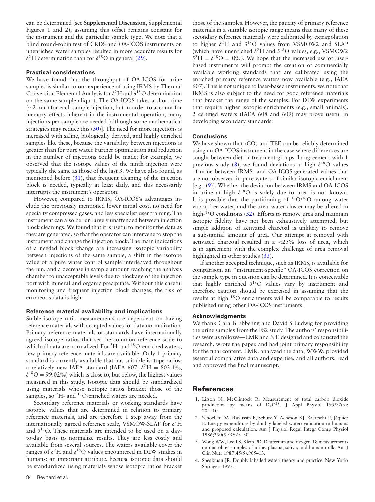can be determined (see **Supplemental Discussion**, Supplemental Figures 1 and 2), assuming this offset remains constant for the instrument and the particular sample type. We note that a blind round-robin test of CRDS and OA-ICOS instruments on unenriched water samples resulted in more accurate results for δ<sup>2</sup>H determination than for  $δ$ <sup>18</sup>O in general [\(29\)](#page-8-20).

#### **Practical considerations**

We have found that the throughput of OA-ICOS for urine samples is similar to our experience of using IRMS by Thermal Conversion Elemental Analysis for  $\delta^2$ H and  $\delta^{18}$ O determination on the same sample aliquot. The OA-ICOS takes a short time (∼2 min) for each sample injection, but in order to account for memory effects inherent in the instrumental operation, many injections per sample are needed [although some mathematical strategies may reduce this  $(30)$ ]. The need for more injections is increased with saline, biologically derived, and highly enriched samples like these, because the variability between injections is greater than for pure water. Further optimization and reduction in the number of injections could be made; for example, we observed that the isotope values of the ninth injection were typically the same as those of the last 3. We have also found, as mentioned before [\(31\)](#page-8-22), that frequent cleaning of the injection block is needed, typically at least daily, and this necessarily interrupts the instrument's operation.

However, compared to IRMS, OA-ICOS's advantages include the previously mentioned lower initial cost, no need for specialty compressed gases, and less specialist user training. The instrument can also be run largely unattended between injection block cleanings. We found that it is useful to monitor the data as they are generated, so that the operator can intervene to stop the instrument and change the injection block. The main indications of a needed block change are increasing isotopic variability between injections of the same sample, a shift in the isotope value of a pure water control sample interleaved throughout the run, and a decrease in sample amount reaching the analysis chamber to unacceptable levels due to blockage of the injection port with mineral and organic precipitate. Without this careful monitoring and frequent injection block changes, the risk of erroneous data is high.

#### **Reference material availability and implications**

Stable isotope ratio measurements are dependent on having reference materials with accepted values for data normalization. Primary reference materials or standards have internationally agreed isotope ratios that set the common reference scale to which all data are normalized. For <sup>2</sup>H- and <sup>18</sup>O-enriched waters, few primary reference materials are available. Only 1 primary standard is currently available that has suitable isotope ratios: a relatively new IAEA standard (IAEA 607,  $\delta^2$ H = 802.4‰,  $\delta^{18}O = 99.02\%$  which is close to, but below, the highest values measured in this study. Isotopic data should be standardized using materials whose isotopic ratios bracket those of the samples, so <sup>2</sup>H- and <sup>18</sup>O-enriched waters are needed.

Secondary reference materials or working standards have isotopic values that are determined in relation to primary reference materials, and are therefore 1 step away from the internationally agreed reference scale, VSMOW-SLAP for  $\delta^2$ H and  $\delta^{18}$ O. These materials are intended to be used on a dayto-day basis to normalize results. They are less costly and available from several sources. The waters available cover the ranges of  $\delta^2$ H and  $\delta^{18}$ O values encountered in DLW studies in humans: an important attribute, because isotopic data should be standardized using materials whose isotopic ratios bracket

those of the samples. However, the paucity of primary reference materials in a suitable isotopic range means that many of these secondary reference materials were calibrated by extrapolation to higher  $\delta^2$ H and  $\delta^{18}$ O values from VSMOW2 and SLAP (which have unenriched  $\delta^2$ H and  $\delta^{18}$ O values, e.g., VSMOW2  $\delta^2$ H =  $\delta^{18}$ O = 0‰). We hope that the increased use of laserbased instruments will prompt the creation of commercially available working standards that are calibrated using the enriched primary reference waters now available (e.g., IAEA 607). This is not unique to laser-based instruments: we note that IRMS is also subject to the need for good reference materials that bracket the range of the samples. For DLW experiments that require higher isotopic enrichments (e.g., small animals), 2 certified waters (IAEA 608 and 609) may prove useful in developing secondary standards.

#### **Conclusions**

We have shown that  $rCO<sub>2</sub>$  and TEE can be reliably determined using an OA-ICOS instrument in the case where differences are sought between diet or treatment groups. In agreement with 1 previous study [\(8\)](#page-8-2), we found deviations at high  $\delta^{18}$ O values of urine between IRMS- and OA-ICOS-generated values that are not observed in pure waters of similar isotopic enrichment [e.g., [\(9\)](#page-8-3)]. Whether the deviation between IRMS and OA-ICOS in urine at high  $\delta^{18}O$  is solely due to urea is not known. It is possible that the partitioning of  $^{18}O/^{16}O$  among water vapor, free water, and the urea–water cluster may be altered in high-<sup>18</sup>O conditions [\(32\)](#page-8-23). Efforts to remove urea and maintain isotopic fidelity have not been exhaustively attempted, but simple addition of activated charcoal is unlikely to remove a substantial amount of urea. Our attempt at removal with activated charcoal resulted in a <25% loss of urea, which is in agreement with the complex challenge of urea removal highlighted in other studies [\(33\)](#page-8-24).

If another accepted technique, such as IRMS, is available for comparison, an "instrument-specific" OA-ICOS correction on the sample type in question can be determined. It is conceivable that highly enriched  $\delta^{18}O$  values vary by instrument and therefore caution should be exercised in assuming that the results at high 18O enrichments will be comparable to results published using other OA-ICOS instruments.

#### **Acknowledgments**

We thank Cara B Ebbeling and David S Ludwig for providing the urine samples from the FS2 study. The authors' responsibilities were as follows—LMR and NT: designed and conducted the research, wrote the paper, and had joint primary responsibility for the final content; LMR: analyzed the data; WWW: provided essential comparative data and expertise; and all authors: read and approved the final manuscript.

#### **References**

- <span id="page-7-0"></span>1. Lifson N, McClintock R. Measurement of total carbon dioxide production by means of  $D_2O^{18}$ . J Appl Physiol 1955;7(6): 704–10.
- <span id="page-7-1"></span>2. Schoeller DA, Ravussin E, Schutz Y, Acheson KJ, Baertschi P, Jéquier E. Energy expenditure by doubly labeled water: validation in humans and proposed calculation. Am J Physiol Regul Integr Comp Physiol 1986;250(5):R823–30.
- 3. Wong WW, Lee LS, Klein PD. Deuterium and oxygen-18 measurements on microliter samples of urine, plasma, saliva, and human milk. Am J Clin Nutr 1987;45(5):905–13.
- <span id="page-7-2"></span>4. Speakman JR. Doubly labelled water: theory and practice. New York: Springer; 1997.